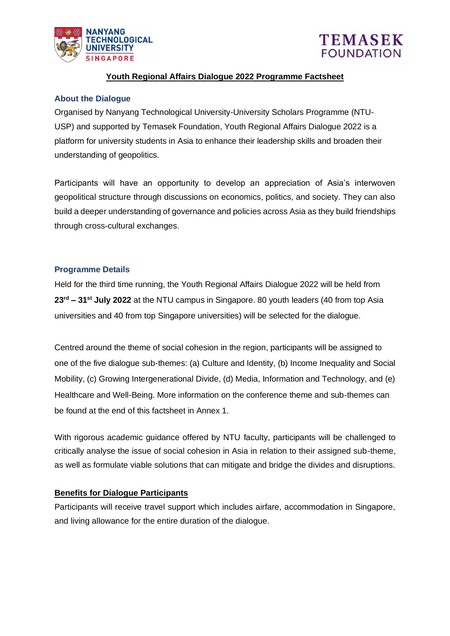



## **Youth Regional Affairs Dialogue 2022 Programme Factsheet**

## **About the Dialogue**

Organised by Nanyang Technological University-University Scholars Programme (NTU-USP) and supported by Temasek Foundation, Youth Regional Affairs Dialogue 2022 is a platform for university students in Asia to enhance their leadership skills and broaden their understanding of geopolitics.

Participants will have an opportunity to develop an appreciation of Asia's interwoven geopolitical structure through discussions on economics, politics, and society. They can also build a deeper understanding of governance and policies across Asia as they build friendships through cross-cultural exchanges.

## **Programme Details**

Held for the third time running, the Youth Regional Affairs Dialogue 2022 will be held from **23rd – 31st July 2022** at the NTU campus in Singapore. 80 youth leaders (40 from top Asia universities and 40 from top Singapore universities) will be selected for the dialogue.

Centred around the theme of social cohesion in the region, participants will be assigned to one of the five dialogue sub-themes: (a) Culture and Identity, (b) Income Inequality and Social Mobility, (c) Growing Intergenerational Divide, (d) Media, Information and Technology, and (e) Healthcare and Well-Being. More information on the conference theme and sub-themes can be found at the end of this factsheet in Annex 1.

With rigorous academic guidance offered by NTU faculty, participants will be challenged to critically analyse the issue of social cohesion in Asia in relation to their assigned sub-theme, as well as formulate viable solutions that can mitigate and bridge the divides and disruptions.

# **Benefits for Dialogue Participants**

Participants will receive travel support which includes airfare, accommodation in Singapore, and living allowance for the entire duration of the dialogue.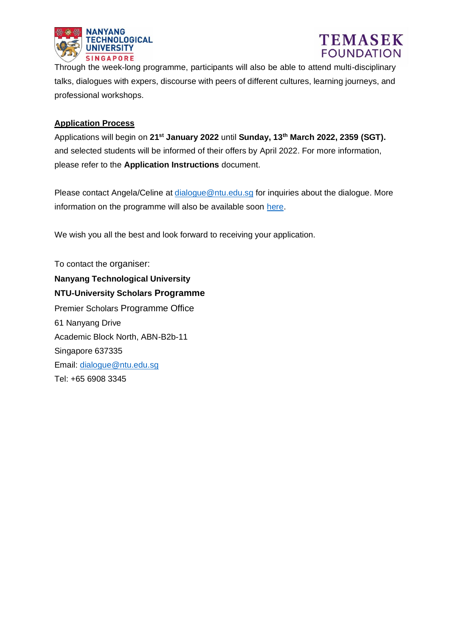



Through the week-long programme, participants will also be able to attend multi-disciplinary talks, dialogues with expers, discourse with peers of different cultures, learning journeys, and professional workshops.

## **Application Process**

Applications will begin on **21st January 2022** until **Sunday, 13th March 2022, 2359 (SGT).** and selected students will be informed of their offers by April 2022. For more information, please refer to the **Application Instructions** document.

Please contact Angela/Celine at [dialogue@ntu.edu.sg](mailto:dialogue@ntu.edu.sg) for inquiries about the dialogue. More information on the programme will also be available soon [here.](https://www.ntu.edu.sg/admissions/undergraduate/premier-scholar-programmes/ntu-university-scholars-programme/news-events#Content_C001_Col01)

We wish you all the best and look forward to receiving your application.

To contact the organiser: **Nanyang Technological University NTU-University Scholars Programme** Premier Scholars Programme Office 61 Nanyang Drive Academic Block North, ABN-B2b-11 Singapore 637335 Email: [dialogue@ntu.edu.sg](mailto:dialogue@ntu.edu.sg) Tel: +65 6908 3345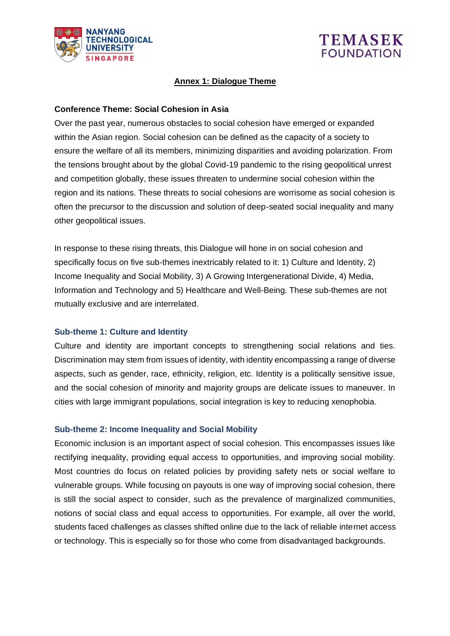



#### **Annex 1: Dialogue Theme**

#### **Conference Theme: Social Cohesion in Asia**

Over the past year, numerous obstacles to social cohesion have emerged or expanded within the Asian region. Social cohesion can be defined as the capacity of a society to ensure the welfare of all its members, minimizing disparities and avoiding polarization. From the tensions brought about by the global Covid-19 pandemic to the rising geopolitical unrest and competition globally, these issues threaten to undermine social cohesion within the region and its nations. These threats to social cohesions are worrisome as social cohesion is often the precursor to the discussion and solution of deep-seated social inequality and many other geopolitical issues.

In response to these rising threats, this Dialogue will hone in on social cohesion and specifically focus on five sub-themes inextricably related to it: 1) Culture and Identity, 2) Income Inequality and Social Mobility, 3) A Growing Intergenerational Divide, 4) Media, Information and Technology and 5) Healthcare and Well-Being. These sub-themes are not mutually exclusive and are interrelated.

### **Sub-theme 1: Culture and Identity**

Culture and identity are important concepts to strengthening social relations and ties. Discrimination may stem from issues of identity, with identity encompassing a range of diverse aspects, such as gender, race, ethnicity, religion, etc. Identity is a politically sensitive issue, and the social cohesion of minority and majority groups are delicate issues to maneuver. In cities with large immigrant populations, social integration is key to reducing xenophobia.

#### **Sub-theme 2: Income Inequality and Social Mobility**

Economic inclusion is an important aspect of social cohesion. This encompasses issues like rectifying inequality, providing equal access to opportunities, and improving social mobility. Most countries do focus on related policies by providing safety nets or social welfare to vulnerable groups. While focusing on payouts is one way of improving social cohesion, there is still the social aspect to consider, such as the prevalence of marginalized communities, notions of social class and equal access to opportunities. For example, all over the world, students faced challenges as classes shifted online due to the lack of reliable internet access or technology. This is especially so for those who come from disadvantaged backgrounds.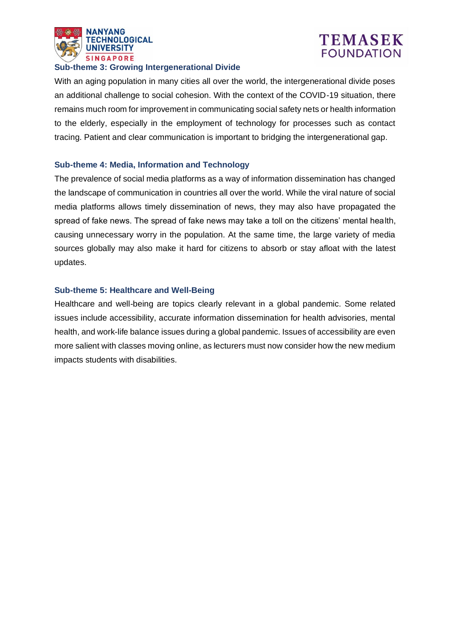

## **Sub-theme 3: Growing Intergenerational Divide**

With an aging population in many cities all over the world, the intergenerational divide poses an additional challenge to social cohesion. With the context of the COVID-19 situation, there remains much room for improvement in communicating social safety nets or health information to the elderly, especially in the employment of technology for processes such as contact

**TEMASEK** 

**FOUNDATION** 

tracing. Patient and clear communication is important to bridging the intergenerational gap.

## **Sub-theme 4: Media, Information and Technology**

The prevalence of social media platforms as a way of information dissemination has changed the landscape of communication in countries all over the world. While the viral nature of social media platforms allows timely dissemination of news, they may also have propagated the spread of fake news. The spread of fake news may take a toll on the citizens' mental health, causing unnecessary worry in the population. At the same time, the large variety of media sources globally may also make it hard for citizens to absorb or stay afloat with the latest updates.

### **Sub-theme 5: Healthcare and Well-Being**

Healthcare and well-being are topics clearly relevant in a global pandemic. Some related issues include accessibility, accurate information dissemination for health advisories, mental health, and work-life balance issues during a global pandemic. Issues of accessibility are even more salient with classes moving online, as lecturers must now consider how the new medium impacts students with disabilities.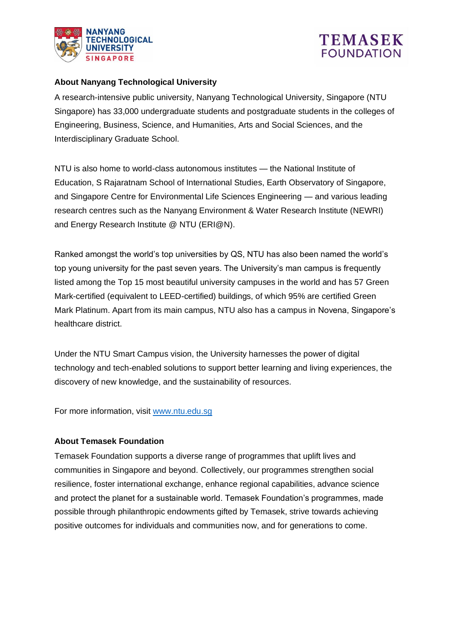



## **About Nanyang Technological University**

A research-intensive public university, Nanyang Technological University, Singapore (NTU Singapore) has 33,000 undergraduate students and postgraduate students in the colleges of Engineering, Business, Science, and Humanities, Arts and Social Sciences, and the Interdisciplinary Graduate School.

NTU is also home to world-class autonomous institutes — the National Institute of Education, S Rajaratnam School of International Studies, Earth Observatory of Singapore, and Singapore Centre for Environmental Life Sciences Engineering — and various leading research centres such as the Nanyang Environment & Water Research Institute (NEWRI) and Energy Research Institute @ NTU (ERI@N).

Ranked amongst the world's top universities by QS, NTU has also been named the world's top young university for the past seven years. The University's man campus is frequently listed among the Top 15 most beautiful university campuses in the world and has 57 Green Mark-certified (equivalent to LEED-certified) buildings, of which 95% are certified Green Mark Platinum. Apart from its main campus, NTU also has a campus in Novena, Singapore's healthcare district.

Under the NTU Smart Campus vision, the University harnesses the power of digital technology and tech-enabled solutions to support better learning and living experiences, the discovery of new knowledge, and the sustainability of resources.

For more information, visit [www.ntu.edu.sg](http://www.ntu.edu.sg/)

### **About Temasek Foundation**

Temasek Foundation supports a diverse range of programmes that uplift lives and communities in Singapore and beyond. Collectively, our programmes strengthen social resilience, foster international exchange, enhance regional capabilities, advance science and protect the planet for a sustainable world. Temasek Foundation's programmes, made possible through philanthropic endowments gifted by Temasek, strive towards achieving positive outcomes for individuals and communities now, and for generations to come.